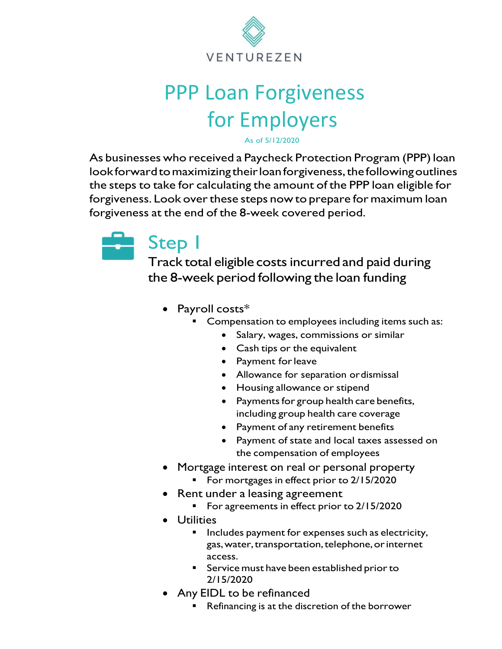

# PPP Loan Forgiveness for Employers

As of 5/12/2020

As businesses who received a Paycheck Protection Program (PPP) loan look forward to maximizing their loan forgiveness, the following outlines the steps to take for calculating the amount of the PPP loan eligible for forgiveness. Look over these steps now to prepare for maximum loan forgiveness at the end of the 8-week covered period.



#### Step 1

Track total eligible costs incurred and paid during the 8-week period following the loan funding

- Payroll costs\*
	- Compensation to employees including items such as:
		- Salary, wages, commissions or similar
		- Cash tips or the equivalent
		- Payment forleave
		- Allowance for separation ordismissal
		- Housing allowance or stipend
		- Payments for group health care benefits, including group health care coverage
		- Payment of any retirement benefits
		- Payment of state and local taxes assessed on the compensation of employees
- Mortgage interest on real or personal property
	- For mortgages in effect prior to 2/15/2020
- Rent under a leasing agreement
	- For agreements in effect prior to 2/15/2020
- Utilities
	- Includes payment for expenses such as electricity, gas, water, transportation, telephone, or internet access.
	- Service must have been established prior to 2/15/2020
- Any EIDL to be refinanced
	- Refinancing is at the discretion of the borrower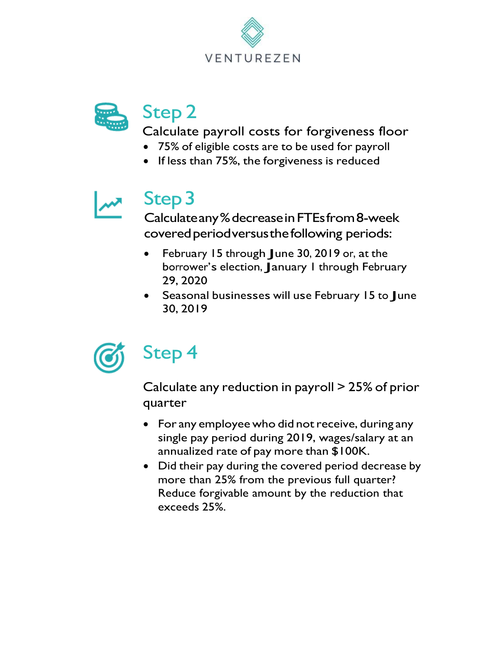



#### Step 2

Calculate payroll costs for forgiveness floor

- 75% of eligible costs are to be used for payroll
- If less than 75%, the forgiveness is reduced



### Step3

Calculateany%decreaseinFTEsfrom8-week covered period versus the following periods:

- February <sup>15</sup> through June 30, <sup>2019</sup> or, at the borrower'<sup>s</sup> election, January <sup>1</sup> through February 29, 2020
- Seasonal businesses will use February <sup>15</sup> to June 30, 2019



## Step 4

Calculate any reduction in payroll > 25% of prior quarter

- For any employee who did not receive, during any single pay period during 2019, wages/salary at an annualized rate of pay more than \$100K.
- Did their pay during the covered period decrease by more than 25% from the previous full quarter? Reduce forgivable amount by the reduction that exceeds 25%.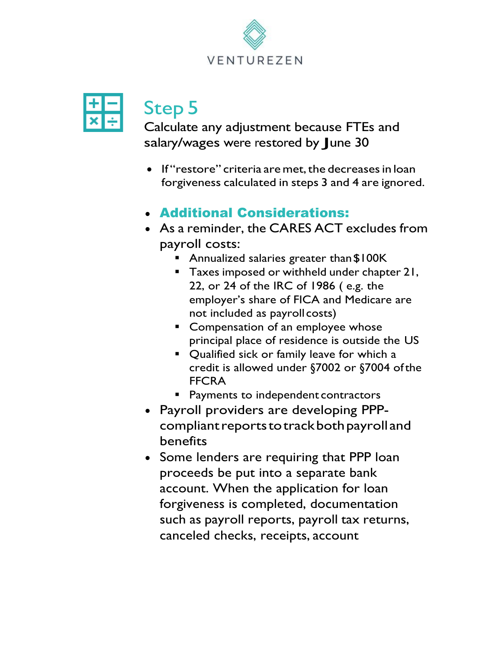



## Step 5

Calculate any adjustment because FTEs and salary/wages were restored by June 30

- If "restore" criteria are met, the decreases in loan forgiveness calculated in steps 3 and 4 are ignored.
- Additional Considerations:
- As a reminder, the CARES ACT excludes from payroll costs:
	- Annualized salaries greater than \$100K
	- Taxes imposed or withheld under chapter 21, 22, or 24 of the IRC of 1986 ( e.g. the employer's share of FICA and Medicare are not included as payroll costs)
	- Compensation of an employee whose principal place of residence is outside the US
	- Qualified sick or family leave for which a credit is allowed under §7002 or §7004 ofthe FFCRA
	- **Payments to independent contractors**
- Payroll providers are developing PPPcompliant reports to track both payroll and benefits
- Some lenders are requiring that PPP loan proceeds be put into a separate bank account. When the application for loan forgiveness is completed, documentation such as payroll reports, payroll tax returns, canceled checks, receipts, account